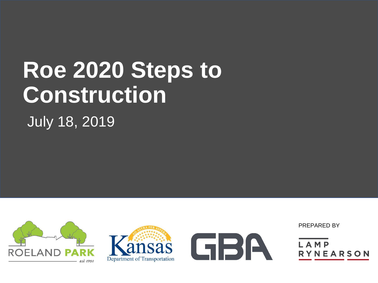## **Roe 2020 Steps to Construction**

#### July 18, 2019

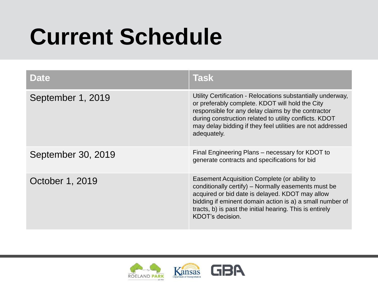## **Current Schedule**

| <b>Date</b>        | <b>Task</b>                                                                                                                                                                                                                                                                                                 |
|--------------------|-------------------------------------------------------------------------------------------------------------------------------------------------------------------------------------------------------------------------------------------------------------------------------------------------------------|
| September 1, 2019  | Utility Certification - Relocations substantially underway,<br>or preferably complete. KDOT will hold the City<br>responsible for any delay claims by the contractor<br>during construction related to utility conflicts. KDOT<br>may delay bidding if they feel utilities are not addressed<br>adequately. |
| September 30, 2019 | Final Engineering Plans – necessary for KDOT to<br>generate contracts and specifications for bid                                                                                                                                                                                                            |
| October 1, 2019    | Easement Acquisition Complete (or ability to<br>conditionally certify) – Normally easements must be<br>acquired or bid date is delayed. KDOT may allow<br>bidding if eminent domain action is a) a small number of<br>tracts, b) is past the initial hearing. This is entirely<br>KDOT's decision.          |

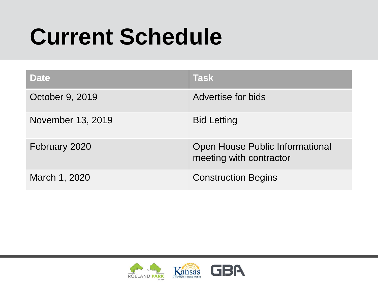## **Current Schedule**

| <b>Date</b>       | <b>Task</b>                                                |
|-------------------|------------------------------------------------------------|
| October 9, 2019   | Advertise for bids                                         |
| November 13, 2019 | <b>Bid Letting</b>                                         |
| February 2020     | Open House Public Informational<br>meeting with contractor |
| March 1, 2020     | <b>Construction Begins</b>                                 |

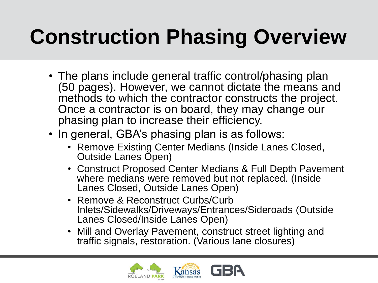## **Construction Phasing Overview**

- The plans include general traffic control/phasing plan (50 pages). However, we cannot dictate the means and methods to which the contractor constructs the project. Once a contractor is on board, they may change our phasing plan to increase their efficiency.
- In general, GBA's phasing plan is as follows:
	- Remove Existing Center Medians (Inside Lanes Closed, Outside Lanes Open)
	- Construct Proposed Center Medians & Full Depth Pavement where medians were removed but not replaced. (Inside Lanes Closed, Outside Lanes Open)
	- Remove & Reconstruct Curbs/Curb Inlets/Sidewalks/Driveways/Entrances/Sideroads (Outside Lanes Closed/Inside Lanes Open)
	- Mill and Overlay Pavement, construct street lighting and traffic signals, restoration. (Various lane closures)

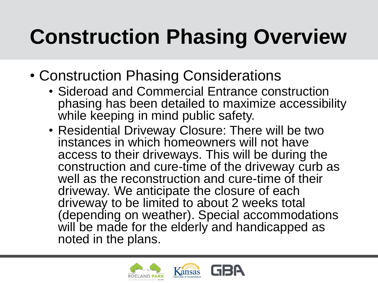## **Construction Phasing Overview**

- Construction Phasing Considerations
	- Sideroad and Commercial Entrance construction phasing has been detailed to maximize accessibility while keeping in mind public safety.
	- Residential Driveway Closure: There will be two instances in which homeowners will not have access to their driveways. This will be during the construction and cure-time of the driveway curb as well as the reconstruction and cure-time of their driveway. We anticipate the closure of each driveway to be limited to about 2 weeks total (depending on weather). Special accommodations will be made for the elderly and handicapped as noted in the plans.

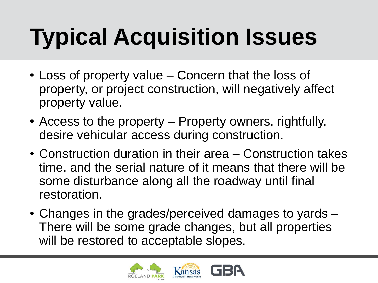# **Typical Acquisition Issues**

- Loss of property value Concern that the loss of property, or project construction, will negatively affect property value.
- Access to the property Property owners, rightfully, desire vehicular access during construction.
- Construction duration in their area Construction takes time, and the serial nature of it means that there will be some disturbance along all the roadway until final restoration.
- Changes in the grades/perceived damages to yards There will be some grade changes, but all properties will be restored to acceptable slopes.

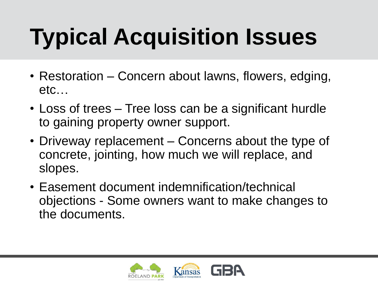# **Typical Acquisition Issues**

- Restoration Concern about lawns, flowers, edging, etc…
- Loss of trees Tree loss can be a significant hurdle to gaining property owner support.
- Driveway replacement Concerns about the type of concrete, jointing, how much we will replace, and slopes.
- Easement document indemnification/technical objections - Some owners want to make changes to the documents.

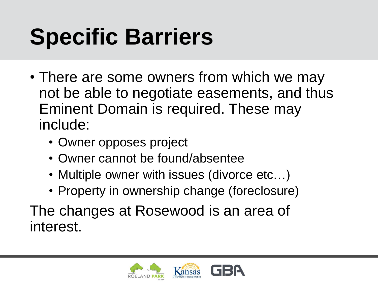## **Specific Barriers**

- There are some owners from which we may not be able to negotiate easements, and thus Eminent Domain is required. These may include:
	- Owner opposes project
	- Owner cannot be found/absentee
	- Multiple owner with issues (divorce etc...)
	- Property in ownership change (foreclosure)

The changes at Rosewood is an area of interest.

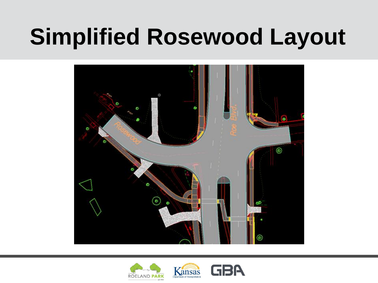## **Simplified Rosewood Layout**





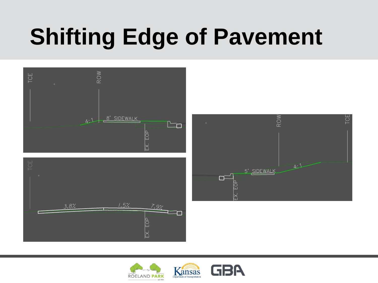## **Shifting Edge of Pavement**





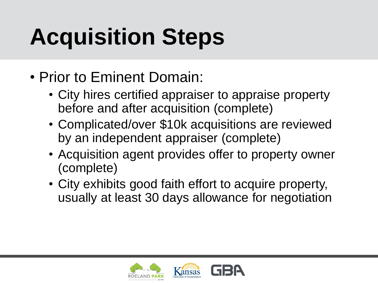# **Acquisition Steps**

- Prior to Eminent Domain:
	- City hires certified appraiser to appraise property before and after acquisition (complete)
	- Complicated/over \$10k acquisitions are reviewed by an independent appraiser (complete)
	- Acquisition agent provides offer to property owner (complete)
	- City exhibits good faith effort to acquire property, usually at least 30 days allowance for negotiation

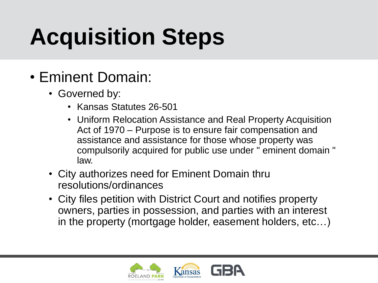# **Acquisition Steps**

- Eminent Domain:
	- Governed by:
		- Kansas Statutes 26-501
		- Uniform Relocation Assistance and Real Property Acquisition Act of 1970 – Purpose is to ensure fair compensation and assistance and assistance for those whose property was compulsorily acquired for public use under " eminent domain " law.
	- City authorizes need for Eminent Domain thru resolutions/ordinances
	- City files petition with District Court and notifies property owners, parties in possession, and parties with an interest in the property (mortgage holder, easement holders, etc…)

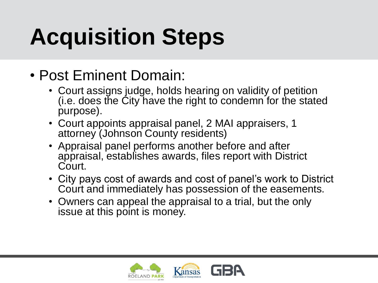# **Acquisition Steps**

- Post Eminent Domain:
	- Court assigns judge, holds hearing on validity of petition (i.e. does the City have the right to condemn for the stated purpose).
	- Court appoints appraisal panel, 2 MAI appraisers, 1 attorney (Johnson County residents)
	- Appraisal panel performs another before and after appraisal, establishes awards, files report with District Court.
	- City pays cost of awards and cost of panel's work to District Court and immediately has possession of the easements.
	- Owners can appeal the appraisal to a trial, but the only issue at this point is money.